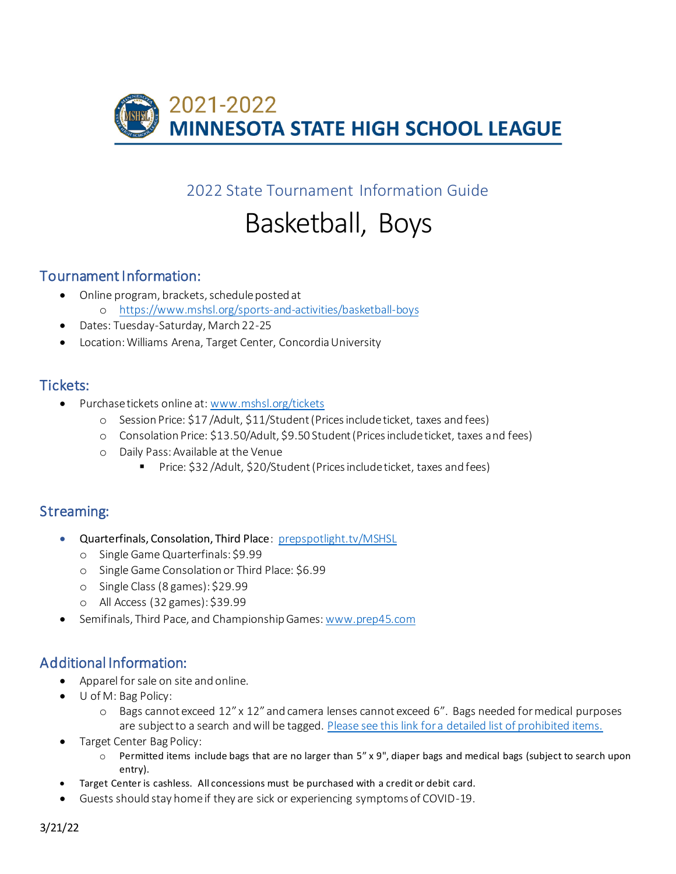

2022 State Tournament Information Guide

# Basketball, Boys

## Tournament Information:

- Online program, brackets, schedule posted at o https://www.mshsl.org/sports-and-activities/basketball-boys
- Dates: Tuesday-Saturday, March 22-25
- Location: Williams Arena, Target Center, Concordia University

#### Tickets:

- Purchase tickets online at: www.mshsl.org/tickets
	- o Session Price: \$17 /Adult, \$11/Student (Prices include ticket, taxes and fees)
	- o Consolation Price: \$13.50/Adult, \$9.50 Student (Prices include ticket, taxes and fees)
	- o Daily Pass: Available at the Venue
		- Price: \$32 / Adult, \$20/ Student (Prices include ticket, taxes and fees)

## Streaming:

- Quarterfinals, Consolation, Third Place: prepspotlight.tv/MSHSL
	- o Single Game Quarterfinals: \$9.99
	- o Single Game Consolation or Third Place: \$6.99
	- o Single Class (8 games): \$29.99
	- o All Access (32 games): \$39.99
- Semifinals, Third Pace, and Championship Games: www.prep45.com

# Additional Information:

- Apparel for sale on site and online.
- U of M: Bag Policy:
	- o Bags cannot exceed 12" x 12" and camera lenses cannot exceed 6". Bags needed for medical purposes are subject to a search and will be tagged. Please see this link for a detailed list of prohibited items.
- Target Center Bag Policy:
	- $\circ$  Permitted items include bags that are no larger than 5" x 9", diaper bags and medical bags (subject to search upon entry).
- Target Center is cashless. All concessions must be purchased with a credit or debit card.
- Guests should stay home if they are sick or experiencing symptoms of COVID-19.